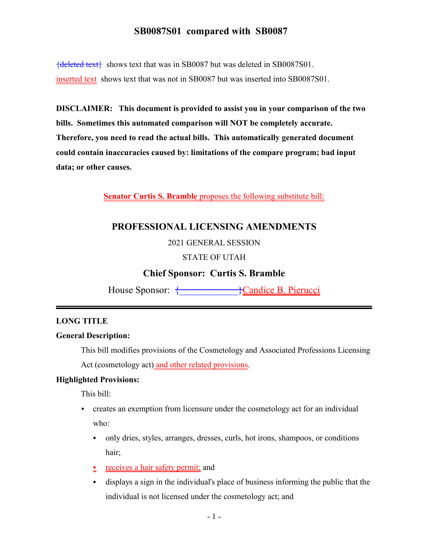{deleted text} shows text that was in SB0087 but was deleted in SB0087S01. inserted text shows text that was not in SB0087 but was inserted into SB0087S01.

**DISCLAIMER: This document is provided to assist you in your comparison of the two bills. Sometimes this automated comparison will NOT be completely accurate. Therefore, you need to read the actual bills. This automatically generated document could contain inaccuracies caused by: limitations of the compare program; bad input data; or other causes.**

**Senator Curtis S. Bramble** proposes the following substitute bill:

## **PROFESSIONAL LICENSING AMENDMENTS**

### 2021 GENERAL SESSION

### STATE OF UTAH

### **Chief Sponsor: Curtis S. Bramble**

House Sponsor: { \text{\bmat{\bmat{\bmat{\bmat{\bmat{\bmat{\bmat{\bmat{\bmat{\bmat{\bmat{\bmat{\bmat{\bmat{\bmat{\bmat{\bmat{\bmat{\bmat{\bmat{\bmat{\bmat{\bmat{\bmat{\bmat{\bmat{\bmat{\bmat{\bmat{\bmat{\bmat{\bmat{\bmat{\

#### **LONG TITLE**

### **General Description:**

This bill modifies provisions of the Cosmetology and Associated Professions Licensing Act (cosmetology act) and other related provisions.

### **Highlighted Provisions:**

This bill:

- $\triangleright$  creates an exemption from licensure under the cosmetology act for an individual who:
	- only dries, styles, arranges, dresses, curls, hot irons, shampoos, or conditions hair;
	- $\frac{\cdot}{\cdot}$  receives a hair safety permit; and
	- C displays a sign in the individual's place of business informing the public that the individual is not licensed under the cosmetology act; and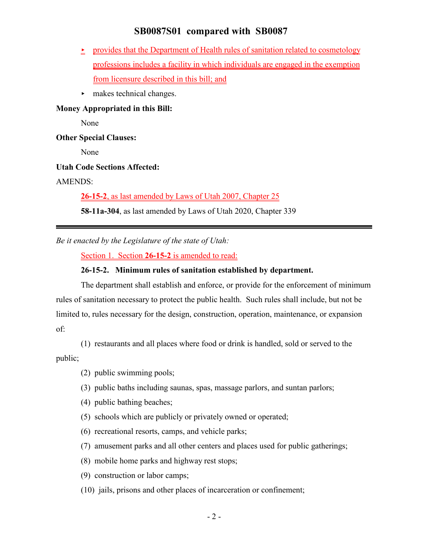- < provides that the Department of Health rules of sanitation related to cosmetology professions includes a facility in which individuals are engaged in the exemption from licensure described in this bill; and
- $\blacktriangleright$  makes technical changes.

### **Money Appropriated in this Bill:**

None

**Other Special Clauses:**

None

#### **Utah Code Sections Affected:**

AMENDS:

**26-15-2**, as last amended by Laws of Utah 2007, Chapter 25

**58-11a-304**, as last amended by Laws of Utah 2020, Chapter 339

*Be it enacted by the Legislature of the state of Utah:*

Section 1. Section **26-15-2** is amended to read:

### **26-15-2. Minimum rules of sanitation established by department.**

The department shall establish and enforce, or provide for the enforcement of minimum rules of sanitation necessary to protect the public health. Such rules shall include, but not be limited to, rules necessary for the design, construction, operation, maintenance, or expansion of:

(1) restaurants and all places where food or drink is handled, sold or served to the public;

- (2) public swimming pools;
- (3) public baths including saunas, spas, massage parlors, and suntan parlors;
- (4) public bathing beaches;
- (5) schools which are publicly or privately owned or operated;
- (6) recreational resorts, camps, and vehicle parks;
- (7) amusement parks and all other centers and places used for public gatherings;
- (8) mobile home parks and highway rest stops;
- (9) construction or labor camps;
- (10) jails, prisons and other places of incarceration or confinement;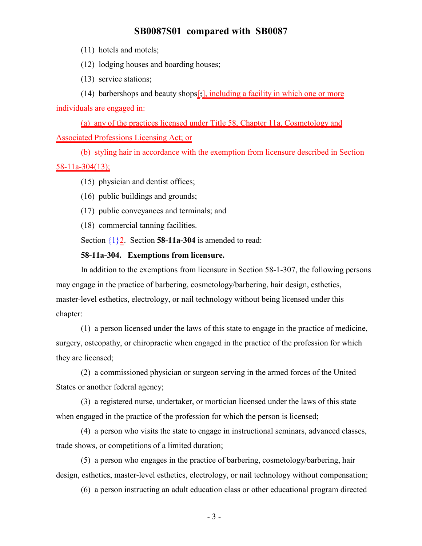(11) hotels and motels;

(12) lodging houses and boarding houses;

(13) service stations;

(14) barbershops and beauty shops $\left[\frac{1}{2}\right]$ , including a facility in which one or more individuals are engaged in:

(a) any of the practices licensed under Title 58, Chapter 11a, Cosmetology and Associated Professions Licensing Act; or

(b) styling hair in accordance with the exemption from licensure described in Section 58-11a-304(13);

- (15) physician and dentist offices;
- (16) public buildings and grounds;
- (17) public conveyances and terminals; and
- (18) commercial tanning facilities.

Section  $\frac{1}{2}$ . Section **58-11a-304** is amended to read:

### **58-11a-304. Exemptions from licensure.**

In addition to the exemptions from licensure in Section 58-1-307, the following persons may engage in the practice of barbering, cosmetology/barbering, hair design, esthetics, master-level esthetics, electrology, or nail technology without being licensed under this chapter:

(1) a person licensed under the laws of this state to engage in the practice of medicine, surgery, osteopathy, or chiropractic when engaged in the practice of the profession for which they are licensed;

(2) a commissioned physician or surgeon serving in the armed forces of the United States or another federal agency;

(3) a registered nurse, undertaker, or mortician licensed under the laws of this state when engaged in the practice of the profession for which the person is licensed;

(4) a person who visits the state to engage in instructional seminars, advanced classes, trade shows, or competitions of a limited duration;

(5) a person who engages in the practice of barbering, cosmetology/barbering, hair design, esthetics, master-level esthetics, electrology, or nail technology without compensation;

(6) a person instructing an adult education class or other educational program directed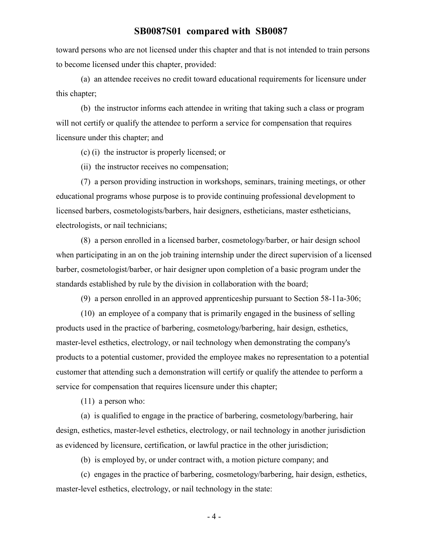toward persons who are not licensed under this chapter and that is not intended to train persons to become licensed under this chapter, provided:

(a) an attendee receives no credit toward educational requirements for licensure under this chapter;

(b) the instructor informs each attendee in writing that taking such a class or program will not certify or qualify the attendee to perform a service for compensation that requires licensure under this chapter; and

(c) (i) the instructor is properly licensed; or

(ii) the instructor receives no compensation;

(7) a person providing instruction in workshops, seminars, training meetings, or other educational programs whose purpose is to provide continuing professional development to licensed barbers, cosmetologists/barbers, hair designers, estheticians, master estheticians, electrologists, or nail technicians;

(8) a person enrolled in a licensed barber, cosmetology/barber, or hair design school when participating in an on the job training internship under the direct supervision of a licensed barber, cosmetologist/barber, or hair designer upon completion of a basic program under the standards established by rule by the division in collaboration with the board;

(9) a person enrolled in an approved apprenticeship pursuant to Section 58-11a-306;

(10) an employee of a company that is primarily engaged in the business of selling products used in the practice of barbering, cosmetology/barbering, hair design, esthetics, master-level esthetics, electrology, or nail technology when demonstrating the company's products to a potential customer, provided the employee makes no representation to a potential customer that attending such a demonstration will certify or qualify the attendee to perform a service for compensation that requires licensure under this chapter;

(11) a person who:

(a) is qualified to engage in the practice of barbering, cosmetology/barbering, hair design, esthetics, master-level esthetics, electrology, or nail technology in another jurisdiction as evidenced by licensure, certification, or lawful practice in the other jurisdiction;

(b) is employed by, or under contract with, a motion picture company; and

(c) engages in the practice of barbering, cosmetology/barbering, hair design, esthetics, master-level esthetics, electrology, or nail technology in the state:

- 4 -